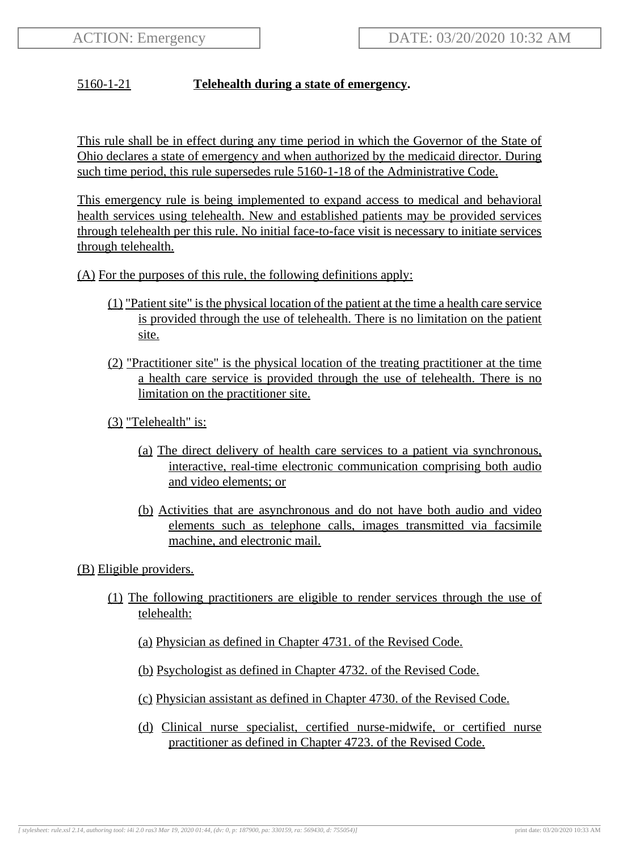## 5160-1-21 **Telehealth during a state of emergency.**

This rule shall be in effect during any time period in which the Governor of the State of Ohio declares a state of emergency and when authorized by the medicaid director. During such time period, this rule supersedes rule 5160-1-18 of the Administrative Code.

This emergency rule is being implemented to expand access to medical and behavioral health services using telehealth. New and established patients may be provided services through telehealth per this rule. No initial face-to-face visit is necessary to initiate services through telehealth.

#### (A) For the purposes of this rule, the following definitions apply:

- (1) "Patient site" is the physical location of the patient at the time a health care service is provided through the use of telehealth. There is no limitation on the patient site.
- (2) "Practitioner site" is the physical location of the treating practitioner at the time a health care service is provided through the use of telehealth. There is no limitation on the practitioner site.
- (3) "Telehealth" is:
	- (a) The direct delivery of health care services to a patient via synchronous, interactive, real-time electronic communication comprising both audio and video elements; or
	- (b) Activities that are asynchronous and do not have both audio and video elements such as telephone calls, images transmitted via facsimile machine, and electronic mail.

(B) Eligible providers.

- (1) The following practitioners are eligible to render services through the use of telehealth:
	- (a) Physician as defined in Chapter 4731. of the Revised Code.
	- (b) Psychologist as defined in Chapter 4732. of the Revised Code.
	- (c) Physician assistant as defined in Chapter 4730. of the Revised Code.
	- (d) Clinical nurse specialist, certified nurse-midwife, or certified nurse practitioner as defined in Chapter 4723. of the Revised Code.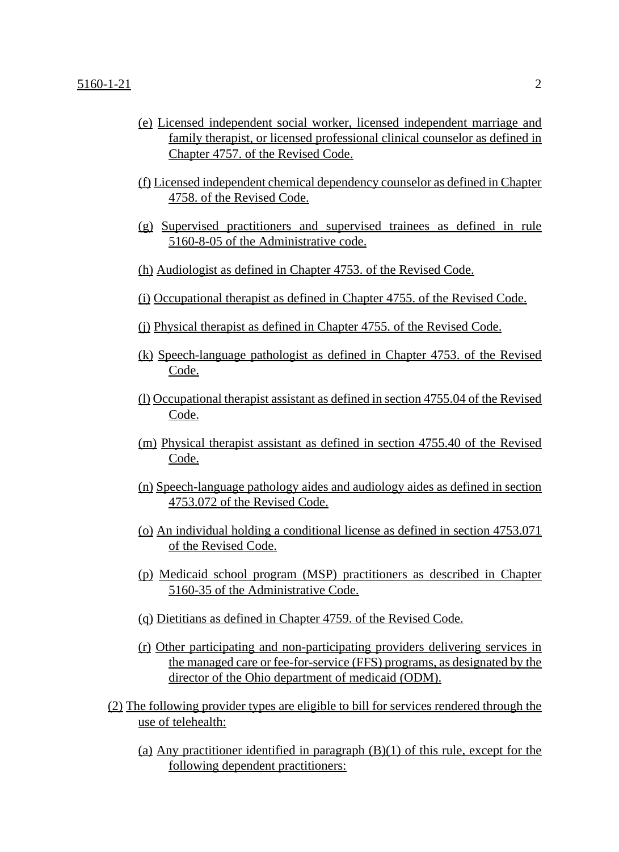- (e) Licensed independent social worker, licensed independent marriage and family therapist, or licensed professional clinical counselor as defined in Chapter 4757. of the Revised Code.
- (f) Licensed independent chemical dependency counselor as defined in Chapter 4758. of the Revised Code.
- (g) Supervised practitioners and supervised trainees as defined in rule 5160-8-05 of the Administrative code.
- (h) Audiologist as defined in Chapter 4753. of the Revised Code.
- (i) Occupational therapist as defined in Chapter 4755. of the Revised Code.
- (j) Physical therapist as defined in Chapter 4755. of the Revised Code.
- (k) Speech-language pathologist as defined in Chapter 4753. of the Revised Code.
- (l) Occupational therapist assistant as defined in section 4755.04 of the Revised Code.
- (m) Physical therapist assistant as defined in section 4755.40 of the Revised Code.
- (n) Speech-language pathology aides and audiology aides as defined in section 4753.072 of the Revised Code.
- (o) An individual holding a conditional license as defined in section 4753.071 of the Revised Code.
- (p) Medicaid school program (MSP) practitioners as described in Chapter 5160-35 of the Administrative Code.
- (q) Dietitians as defined in Chapter 4759. of the Revised Code.
- (r) Other participating and non-participating providers delivering services in the managed care or fee-for-service (FFS) programs, as designated by the director of the Ohio department of medicaid (ODM).
- (2) The following provider types are eligible to bill for services rendered through the use of telehealth:
	- (a) Any practitioner identified in paragraph  $(B)(1)$  of this rule, except for the following dependent practitioners: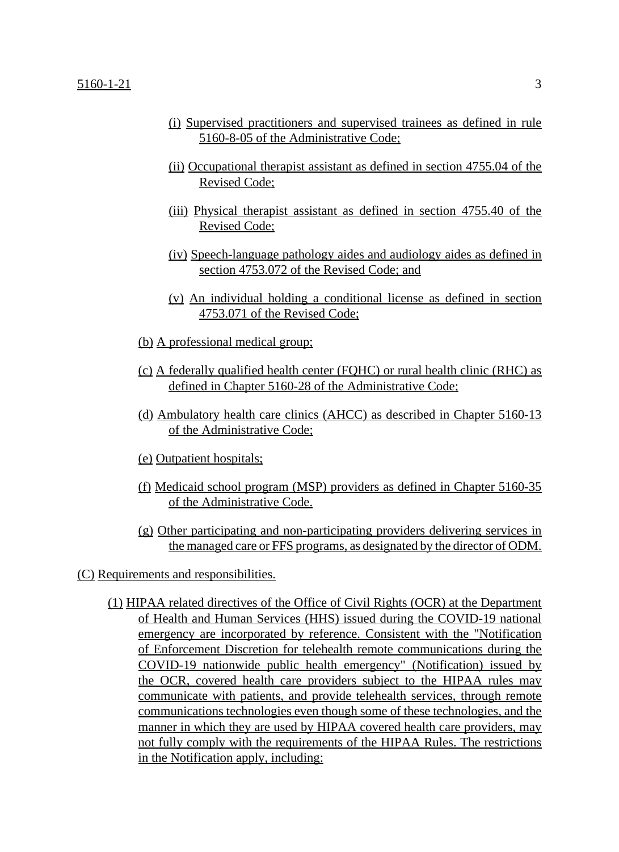- (i) Supervised practitioners and supervised trainees as defined in rule 5160-8-05 of the Administrative Code;
- (ii) Occupational therapist assistant as defined in section 4755.04 of the Revised Code;
- (iii) Physical therapist assistant as defined in section 4755.40 of the Revised Code;
- (iv) Speech-language pathology aides and audiology aides as defined in section 4753.072 of the Revised Code; and
- (v) An individual holding a conditional license as defined in section 4753.071 of the Revised Code;
- (b) A professional medical group;
- (c) A federally qualified health center (FQHC) or rural health clinic (RHC) as defined in Chapter 5160-28 of the Administrative Code;
- (d) Ambulatory health care clinics (AHCC) as described in Chapter 5160-13 of the Administrative Code;
- (e) Outpatient hospitals;
- (f) Medicaid school program (MSP) providers as defined in Chapter 5160-35 of the Administrative Code.
- (g) Other participating and non-participating providers delivering services in the managed care or FFS programs, as designated by the director of ODM.
- (C) Requirements and responsibilities.
	- (1) HIPAA related directives of the Office of Civil Rights (OCR) at the Department of Health and Human Services (HHS) issued during the COVID-19 national emergency are incorporated by reference. Consistent with the "Notification of Enforcement Discretion for telehealth remote communications during the COVID-19 nationwide public health emergency" (Notification) issued by the OCR, covered health care providers subject to the HIPAA rules may communicate with patients, and provide telehealth services, through remote communications technologies even though some of these technologies, and the manner in which they are used by HIPAA covered health care providers, may not fully comply with the requirements of the HIPAA Rules. The restrictions in the Notification apply, including: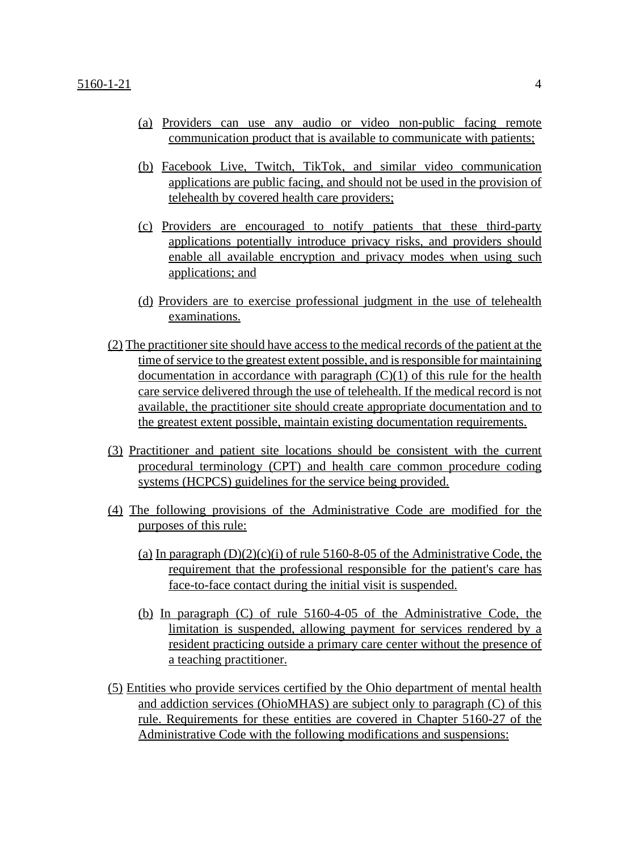- (a) Providers can use any audio or video non-public facing remote communication product that is available to communicate with patients;
- (b) Facebook Live, Twitch, TikTok, and similar video communication applications are public facing, and should not be used in the provision of telehealth by covered health care providers;
- (c) Providers are encouraged to notify patients that these third-party applications potentially introduce privacy risks, and providers should enable all available encryption and privacy modes when using such applications; and
- (d) Providers are to exercise professional judgment in the use of telehealth examinations.
- (2) The practitioner site should have access to the medical records of the patient at the time of service to the greatest extent possible, and is responsible for maintaining documentation in accordance with paragraph  $(C)(1)$  of this rule for the health care service delivered through the use of telehealth. If the medical record is not available, the practitioner site should create appropriate documentation and to the greatest extent possible, maintain existing documentation requirements.
- (3) Practitioner and patient site locations should be consistent with the current procedural terminology (CPT) and health care common procedure coding systems (HCPCS) guidelines for the service being provided.
- (4) The following provisions of the Administrative Code are modified for the purposes of this rule:
	- (a) In paragraph  $(D)(2)(c)(i)$  of rule 5160-8-05 of the Administrative Code, the requirement that the professional responsible for the patient's care has face-to-face contact during the initial visit is suspended.
	- (b) In paragraph (C) of rule 5160-4-05 of the Administrative Code, the limitation is suspended, allowing payment for services rendered by a resident practicing outside a primary care center without the presence of a teaching practitioner.
- (5) Entities who provide services certified by the Ohio department of mental health and addiction services (OhioMHAS) are subject only to paragraph (C) of this rule. Requirements for these entities are covered in Chapter 5160-27 of the Administrative Code with the following modifications and suspensions: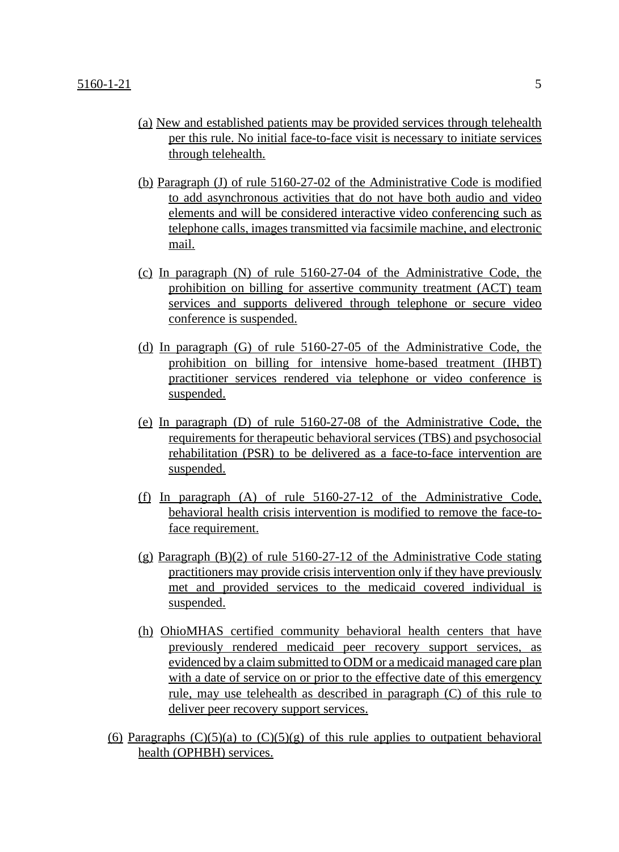- (a) New and established patients may be provided services through telehealth per this rule. No initial face-to-face visit is necessary to initiate services through telehealth.
- (b) Paragraph (J) of rule 5160-27-02 of the Administrative Code is modified to add asynchronous activities that do not have both audio and video elements and will be considered interactive video conferencing such as telephone calls, images transmitted via facsimile machine, and electronic mail.
- (c) In paragraph (N) of rule 5160-27-04 of the Administrative Code, the prohibition on billing for assertive community treatment (ACT) team services and supports delivered through telephone or secure video conference is suspended.
- (d) In paragraph (G) of rule 5160-27-05 of the Administrative Code, the prohibition on billing for intensive home-based treatment (IHBT) practitioner services rendered via telephone or video conference is suspended.
- (e) In paragraph (D) of rule 5160-27-08 of the Administrative Code, the requirements for therapeutic behavioral services (TBS) and psychosocial rehabilitation (PSR) to be delivered as a face-to-face intervention are suspended.
- (f) In paragraph (A) of rule 5160-27-12 of the Administrative Code, behavioral health crisis intervention is modified to remove the face-toface requirement.
- $(g)$  Paragraph  $(B)(2)$  of rule 5160-27-12 of the Administrative Code stating practitioners may provide crisis intervention only if they have previously met and provided services to the medicaid covered individual is suspended.
- (h) OhioMHAS certified community behavioral health centers that have previously rendered medicaid peer recovery support services, as evidenced by a claim submitted to ODM or a medicaid managed care plan with a date of service on or prior to the effective date of this emergency rule, may use telehealth as described in paragraph (C) of this rule to deliver peer recovery support services.
- (6) Paragraphs  $(C)(5)(a)$  to  $(C)(5)(g)$  of this rule applies to outpatient behavioral health (OPHBH) services.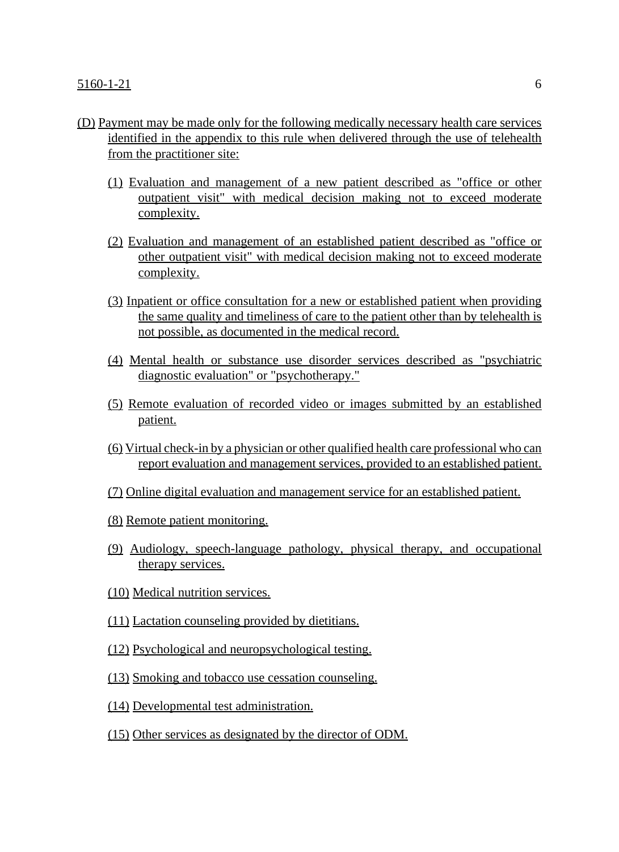- (D) Payment may be made only for the following medically necessary health care services identified in the appendix to this rule when delivered through the use of telehealth from the practitioner site:
	- (1) Evaluation and management of a new patient described as "office or other outpatient visit" with medical decision making not to exceed moderate complexity.
	- (2) Evaluation and management of an established patient described as "office or other outpatient visit" with medical decision making not to exceed moderate complexity.
	- (3) Inpatient or office consultation for a new or established patient when providing the same quality and timeliness of care to the patient other than by telehealth is not possible, as documented in the medical record.
	- (4) Mental health or substance use disorder services described as "psychiatric diagnostic evaluation" or "psychotherapy."
	- (5) Remote evaluation of recorded video or images submitted by an established patient.
	- (6) Virtual check-in by a physician or other qualified health care professional who can report evaluation and management services, provided to an established patient.
	- (7) Online digital evaluation and management service for an established patient.
	- (8) Remote patient monitoring.
	- (9) Audiology, speech-language pathology, physical therapy, and occupational therapy services.
	- (10) Medical nutrition services.
	- (11) Lactation counseling provided by dietitians.
	- (12) Psychological and neuropsychological testing.
	- (13) Smoking and tobacco use cessation counseling.
	- (14) Developmental test administration.
	- (15) Other services as designated by the director of ODM.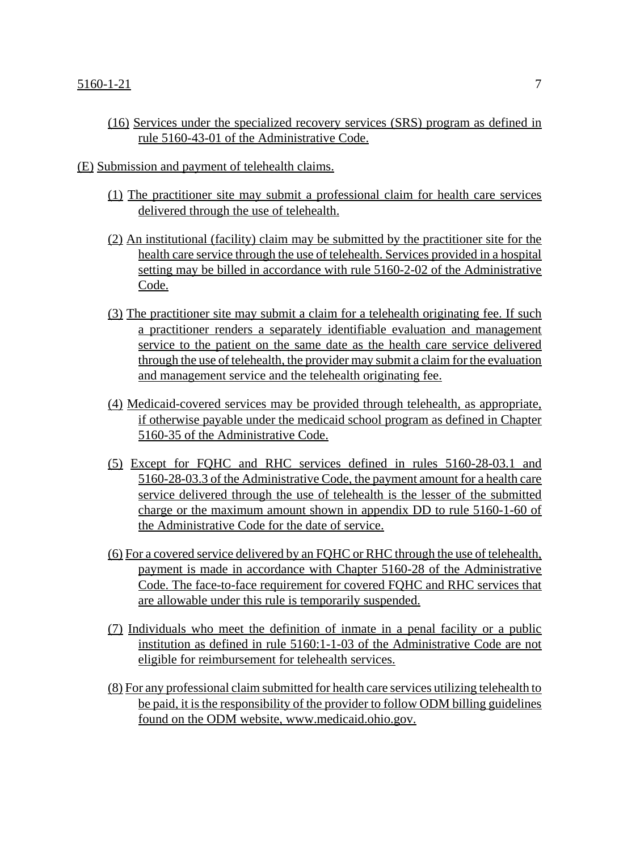(16) Services under the specialized recovery services (SRS) program as defined in rule 5160-43-01 of the Administrative Code.

### (E) Submission and payment of telehealth claims.

- (1) The practitioner site may submit a professional claim for health care services delivered through the use of telehealth.
- (2) An institutional (facility) claim may be submitted by the practitioner site for the health care service through the use of telehealth. Services provided in a hospital setting may be billed in accordance with rule 5160-2-02 of the Administrative Code.
- (3) The practitioner site may submit a claim for a telehealth originating fee. If such a practitioner renders a separately identifiable evaluation and management service to the patient on the same date as the health care service delivered through the use of telehealth, the provider may submit a claim for the evaluation and management service and the telehealth originating fee.
- (4) Medicaid-covered services may be provided through telehealth, as appropriate, if otherwise payable under the medicaid school program as defined in Chapter 5160-35 of the Administrative Code.
- (5) Except for FQHC and RHC services defined in rules 5160-28-03.1 and 5160-28-03.3 of the Administrative Code, the payment amount for a health care service delivered through the use of telehealth is the lesser of the submitted charge or the maximum amount shown in appendix DD to rule 5160-1-60 of the Administrative Code for the date of service.
- (6) For a covered service delivered by an FQHC or RHC through the use of telehealth, payment is made in accordance with Chapter 5160-28 of the Administrative Code. The face-to-face requirement for covered FQHC and RHC services that are allowable under this rule is temporarily suspended.
- (7) Individuals who meet the definition of inmate in a penal facility or a public institution as defined in rule 5160:1-1-03 of the Administrative Code are not eligible for reimbursement for telehealth services.
- (8) For any professional claim submitted for health care services utilizing telehealth to be paid, it is the responsibility of the provider to follow ODM billing guidelines found on the ODM website, www.medicaid.ohio.gov.